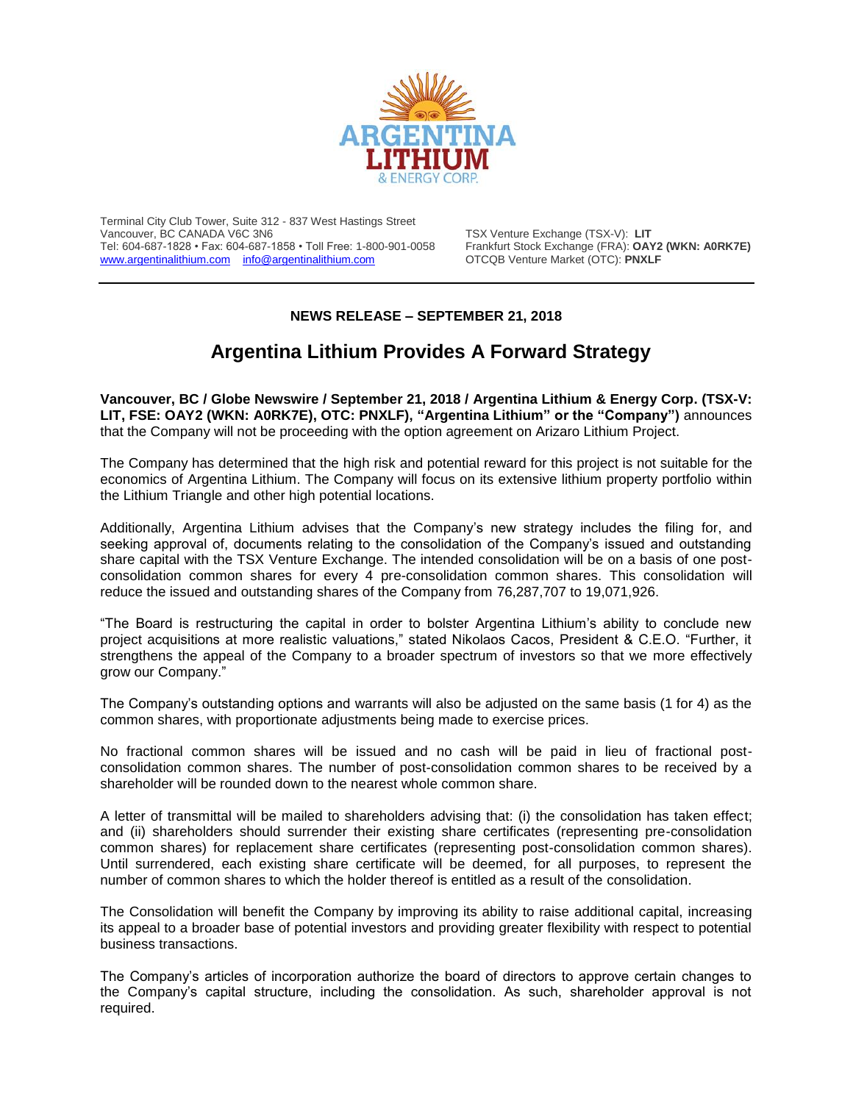

Terminal City Club Tower, Suite 312 - 837 West Hastings Street Vancouver, BC CANADA V6C 3N6 TSX Venture Exchange (TSX-V): **LIT** Tel: 604-687-1828 • Fax: 604-687-1858 • Toll Free: 1-800-901-0058 Frankfurt Stock Exchange (FRA): **OAY2 (WKN: A0RK7E)** [www.argentinalithium.com](http://www.argentinalithium.com/) [info@argentinalithium.com](mailto:info@argentinalithium.com)

## **NEWS RELEASE – SEPTEMBER 21, 2018**

## **Argentina Lithium Provides A Forward Strategy**

**Vancouver, BC / Globe Newswire / September 21, 2018 / Argentina Lithium & Energy Corp. (TSX-V: LIT, FSE: OAY2 (WKN: A0RK7E), OTC: PNXLF), "Argentina Lithium" or the "Company")** announces that the Company will not be proceeding with the option agreement on Arizaro Lithium Project.

The Company has determined that the high risk and potential reward for this project is not suitable for the economics of Argentina Lithium. The Company will focus on its extensive lithium property portfolio within the Lithium Triangle and other high potential locations.

Additionally, Argentina Lithium advises that the Company's new strategy includes the filing for, and seeking approval of, documents relating to the consolidation of the Company's issued and outstanding share capital with the TSX Venture Exchange. The intended consolidation will be on a basis of one postconsolidation common shares for every 4 pre-consolidation common shares. This consolidation will reduce the issued and outstanding shares of the Company from 76,287,707 to 19,071,926.

"The Board is restructuring the capital in order to bolster Argentina Lithium's ability to conclude new project acquisitions at more realistic valuations," stated Nikolaos Cacos, President & C.E.O. "Further, it strengthens the appeal of the Company to a broader spectrum of investors so that we more effectively grow our Company."

The Company's outstanding options and warrants will also be adjusted on the same basis (1 for 4) as the common shares, with proportionate adjustments being made to exercise prices.

No fractional common shares will be issued and no cash will be paid in lieu of fractional postconsolidation common shares. The number of post-consolidation common shares to be received by a shareholder will be rounded down to the nearest whole common share.

A letter of transmittal will be mailed to shareholders advising that: (i) the consolidation has taken effect; and (ii) shareholders should surrender their existing share certificates (representing pre-consolidation common shares) for replacement share certificates (representing post-consolidation common shares). Until surrendered, each existing share certificate will be deemed, for all purposes, to represent the number of common shares to which the holder thereof is entitled as a result of the consolidation.

The Consolidation will benefit the Company by improving its ability to raise additional capital, increasing its appeal to a broader base of potential investors and providing greater flexibility with respect to potential business transactions.

The Company's articles of incorporation authorize the board of directors to approve certain changes to the Company's capital structure, including the consolidation. As such, shareholder approval is not required.